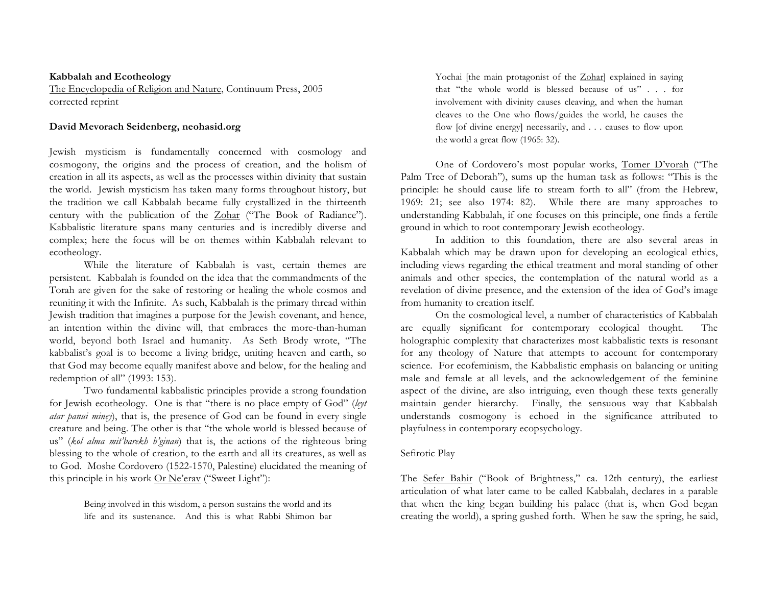## **Kabbalah and Ecotheology**

The Encyclopedia of Religion and Nature, Continuum Press, 2005 corrected reprint

## **David Mevorach Seidenberg, neohasid.org**

Jewish mysticism is fundamentally concerned with cosmology and cosmogony, the origins and the process of creation, and the holism of creation in all its aspects, as well as the processes within divinity that sustain the world. Jewish mysticism has taken many forms throughout history, but the tradition we call Kabbalah became fully crystallized in the thirteenth century with the publication of the Zohar ("The Book of Radiance"). Kabbalistic literature spans many centuries and is incredibly diverse and complex; here the focus will be on themes within Kabbalah relevant to ecotheology.

While the literature of Kabbalah is vast, certain themes are persistent. Kabbalah is founded on the idea that the commandments of the Torah are given for the sake of restoring or healing the whole cosmos and reuniting it with the Infinite. As such, Kabbalah is the primary thread within Jewish tradition that imagines a purpose for the Jewish covenant, and hence, an intention within the divine will, that embraces the more-than-human world, beyond both Israel and humanity. As Seth Brody wrote, "The kabbalist's goal is to become a living bridge, uniting heaven and earth, so that God may become equally manifest above and below, for the healing and redemption of all" (1993: 153).

Two fundamental kabbalistic principles provide a strong foundation for Jewish ecotheology. One is that "there is no place empty of God" (*leyt atar panui miney*), that is, the presence of God can be found in every single creature and being. The other is that "the whole world is blessed because of us" (*kol alma mit'barekh b'ginan*) that is, the actions of the righteous bring blessing to the whole of creation, to the earth and all its creatures, as well as to God. Moshe Cordovero (1522-1570, Palestine) elucidated the meaning of this principle in his work Or Ne'erav ("Sweet Light"):

> Being involved in this wisdom, a person sustains the world and its life and its sustenance. And this is what Rabbi Shimon bar

Yochai [the main protagonist of the Zohar] explained in saying that "the whole world is blessed because of us" . . . for involvement with divinity causes cleaving, and when the human cleaves to the One who flows/guides the world, he causes the flow [of divine energy] necessarily, and . . . causes to flow upon the world a great flow (1965: 32).

One of Cordovero's most popular works, Tomer D'vorah ("The Palm Tree of Deborah"), sums up the human task as follows: "This is the principle: he should cause life to stream forth to all" (from the Hebrew, 1969: 21; see also 1974: 82). While there are many approaches to understanding Kabbalah, if one focuses on this principle, one finds a fertile ground in which to root contemporary Jewish ecotheology.

In addition to this foundation, there are also several areas in Kabbalah which may be drawn upon for developing an ecological ethics, including views regarding the ethical treatment and moral standing of other animals and other species, the contemplation of the natural world as a revelation of divine presence, and the extension of the idea of God's image from humanity to creation itself.

On the cosmological level, a number of characteristics of Kabbalah are equally significant for contemporary ecological thought. The holographic complexity that characterizes most kabbalistic texts is resonant for any theology of Nature that attempts to account for contemporary science. For ecofeminism, the Kabbalistic emphasis on balancing or uniting male and female at all levels, and the acknowledgement of the feminine aspect of the divine, are also intriguing, even though these texts generally maintain gender hierarchy. Finally, the sensuous way that Kabbalah understands cosmogony is echoed in the significance attributed to playfulness in contemporary ecopsychology.

## Sefirotic Play

The Sefer Bahir ("Book of Brightness," ca. 12th century), the earliest articulation of what later came to be called Kabbalah, declares in a parable that when the king began building his palace (that is, when God began creating the world), a spring gushed forth. When he saw the spring, he said,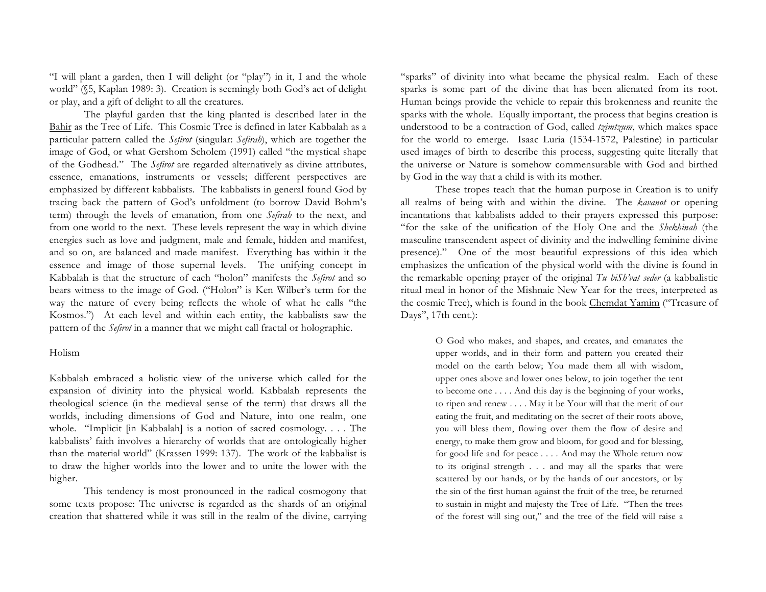"I will plant a garden, then I will delight (or "play") in it, I and the whole world" (§5, Kaplan 1989: 3). Creation is seemingly both God's act of delight or play, and a gift of delight to all the creatures.

The playful garden that the king planted is described later in the Bahir as the Tree of Life. This Cosmic Tree is defined in later Kabbalah as a particular pattern called the *Sefirot* (singular: *Sefirah*), which are together the image of God, or what Gershom Scholem (1991) called "the mystical shape of the Godhead." The *Sefirot* are regarded alternatively as divine attributes, essence, emanations, instruments or vessels; different perspectives are emphasized by different kabbalists. The kabbalists in general found God by tracing back the pattern of God's unfoldment (to borrow David Bohm's term) through the levels of emanation, from one *Sefirah* to the next, and from one world to the next. These levels represent the way in which divine energies such as love and judgment, male and female, hidden and manifest, and so on, are balanced and made manifest. Everything has within it the essence and image of those supernal levels. The unifying concept in Kabbalah is that the structure of each "holon" manifests the *Sefirot* and so bears witness to the image of God. ("Holon" is Ken Wilber's term for the way the nature of every being reflects the whole of what he calls "the Kosmos.") At each level and within each entity, the kabbalists saw the pattern of the *Sefirot* in a manner that we might call fractal or holographic.

#### Holism

Kabbalah embraced a holistic view of the universe which called for the expansion of divinity into the physical world. Kabbalah represents the theological science (in the medieval sense of the term) that draws all the worlds, including dimensions of God and Nature, into one realm, one whole. "Implicit [in Kabbalah] is a notion of sacred cosmology. . . . The kabbalists' faith involves a hierarchy of worlds that are ontologically higher than the material world" (Krassen 1999: 137). The work of the kabbalist is to draw the higher worlds into the lower and to unite the lower with the higher.

This tendency is most pronounced in the radical cosmogony that some texts propose: The universe is regarded as the shards of an original creation that shattered while it was still in the realm of the divine, carrying

"sparks" of divinity into what became the physical realm. Each of these sparks is some part of the divine that has been alienated from its root. Human beings provide the vehicle to repair this brokenness and reunite the sparks with the whole. Equally important, the process that begins creation is understood to be a contraction of God, called *tzimtzum*, which makes space for the world to emerge. Isaac Luria (1534-1572, Palestine) in particular used images of birth to describe this process, suggesting quite literally that the universe or Nature is somehow commensurable with God and birthed by God in the way that a child is with its mother.

These tropes teach that the human purpose in Creation is to unify all realms of being with and within the divine. The *kavanot* or opening incantations that kabbalists added to their prayers expressed this purpose: "for the sake of the unification of the Holy One and the *Shekhinah* (the masculine transcendent aspect of divinity and the indwelling feminine divine presence)." One of the most beautiful expressions of this idea which emphasizes the unfication of the physical world with the divine is found in the remarkable opening prayer of the original *Tu biSh'vat seder* (a kabbalistic ritual meal in honor of the Mishnaic New Year for the trees, interpreted as the cosmic Tree), which is found in the book Chemdat Yamim ("Treasure of Days", 17th cent.):

> O God who makes, and shapes, and creates, and emanates the upper worlds, and in their form and pattern you created their model on the earth below; You made them all with wisdom, upper ones above and lower ones below, to join together the tent to become one . . . . And this day is the beginning of your works, to ripen and renew . . . . May it be Your will that the merit of our eating the fruit, and meditating on the secret of their roots above, you will bless them, flowing over them the flow of desire and energy, to make them grow and bloom, for good and for blessing, for good life and for peace . . . . And may the Whole return now to its original strength . . . and may all the sparks that were scattered by our hands, or by the hands of our ancestors, or by the sin of the first human against the fruit of the tree, be returned to sustain in might and majesty the Tree of Life. "Then the trees of the forest will sing out," and the tree of the field will raise a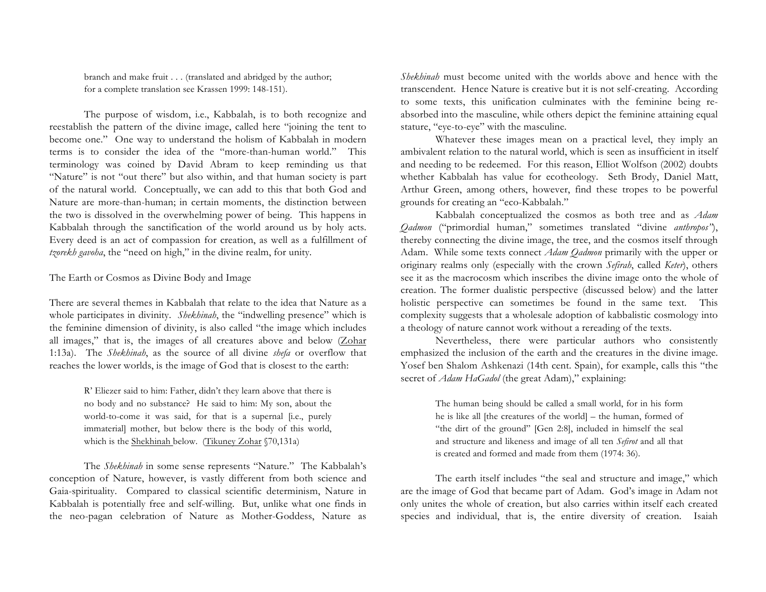branch and make fruit . . . (translated and abridged by the author; for a complete translation see Krassen 1999: 148-151).

The purpose of wisdom, i.e., Kabbalah, is to both recognize and reestablish the pattern of the divine image, called here "joining the tent to become one." One way to understand the holism of Kabbalah in modern terms is to consider the idea of the "more-than-human world." This terminology was coined by David Abram to keep reminding us that "Nature" is not "out there" but also within, and that human society is part of the natural world. Conceptually, we can add to this that both God and Nature are more-than-human; in certain moments, the distinction between the two is dissolved in the overwhelming power of being. This happens in Kabbalah through the sanctification of the world around us by holy acts. Every deed is an act of compassion for creation, as well as a fulfillment of *tzorekh gavoha*, the "need on high," in the divine realm, for unity.

#### The Earth or Cosmos as Divine Body and Image

There are several themes in Kabbalah that relate to the idea that Nature as a whole participates in divinity. *Shekhinah*, the "indwelling presence" which is the feminine dimension of divinity, is also called "the image which includes all images," that is, the images of all creatures above and below (Zohar 1:13a). The *Shekhinah*, as the source of all divine *shefa* or overflow that reaches the lower worlds, is the image of God that is closest to the earth:

> R' Eliezer said to him: Father, didn't they learn above that there is no body and no substance? He said to him: My son, about the world-to-come it was said, for that is a supernal [i.e., purely immaterial] mother, but below there is the body of this world, which is the Shekhinah below. (Tikuney Zohar §70,131a)

The *Shekhinah* in some sense represents "Nature." The Kabbalah's conception of Nature, however, is vastly different from both science and Gaia-spirituality. Compared to classical scientific determinism, Nature in Kabbalah is potentially free and self-willing. But, unlike what one finds in the neo-pagan celebration of Nature as Mother-Goddess, Nature as

*Shekhinah* must become united with the worlds above and hence with the transcendent. Hence Nature is creative but it is not self-creating. According to some texts, this unification culminates with the feminine being reabsorbed into the masculine, while others depict the feminine attaining equal stature, "eye-to-eye" with the masculine.

Whatever these images mean on a practical level, they imply an ambivalent relation to the natural world, which is seen as insufficient in itself and needing to be redeemed. For this reason, Elliot Wolfson (2002) doubts whether Kabbalah has value for ecotheology. Seth Brody, Daniel Matt, Arthur Green, among others, however, find these tropes to be powerful grounds for creating an "eco-Kabbalah."

Kabbalah conceptualized the cosmos as both tree and as *Adam Qadmon* ("primordial human," sometimes translated "divine *anthropos"*), thereby connecting the divine image, the tree, and the cosmos itself through Adam. While some texts connect *Adam Qadmon* primarily with the upper or originary realms only (especially with the crown *Sefirah*, called *Keter*), others see it as the macrocosm which inscribes the divine image onto the whole of creation. The former dualistic perspective (discussed below) and the latter holistic perspective can sometimes be found in the same text. This complexity suggests that a wholesale adoption of kabbalistic cosmology into a theology of nature cannot work without a rereading of the texts.

Nevertheless, there were particular authors who consistently emphasized the inclusion of the earth and the creatures in the divine image. Yosef ben Shalom Ashkenazi (14th cent. Spain), for example, calls this "the secret of *Adam HaGadol* (the great Adam)," explaining:

> The human being should be called a small world, for in his form he is like all [the creatures of the world] – the human, formed of "the dirt of the ground" [Gen 2:8], included in himself the seal and structure and likeness and image of all ten *Sefirot* and all that is created and formed and made from them (1974: 36).

The earth itself includes "the seal and structure and image," which are the image of God that became part of Adam. God's image in Adam not only unites the whole of creation, but also carries within itself each created species and individual, that is, the entire diversity of creation. Isaiah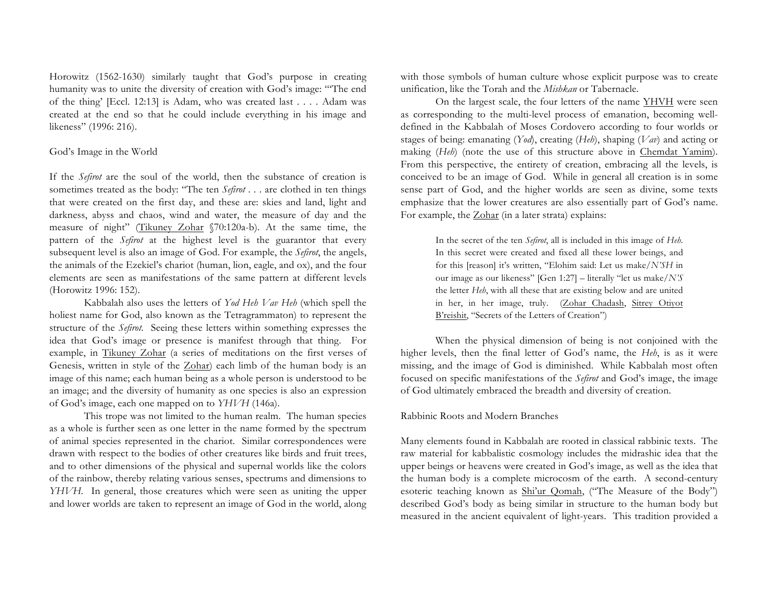Horowitz (1562-1630) similarly taught that God's purpose in creating humanity was to unite the diversity of creation with God's image: "'The end of the thing' [Eccl. 12:13] is Adam, who was created last . . . . Adam was created at the end so that he could include everything in his image and likeness" (1996: 216).

## God's Image in the World

If the *Sefirot* are the soul of the world, then the substance of creation is sometimes treated as the body: "The ten *Sefirot* . . . are clothed in ten things that were created on the first day, and these are: skies and land, light and darkness, abyss and chaos, wind and water, the measure of day and the measure of night" (Tikuney Zohar §70:120a-b). At the same time, the pattern of the *Sefirot* at the highest level is the guarantor that every subsequent level is also an image of God. For example, the *Sefirot*, the angels, the animals of the Ezekiel's chariot (human, lion, eagle, and ox), and the four elements are seen as manifestations of the same pattern at different levels (Horowitz 1996: 152).

Kabbalah also uses the letters of *Yod Heh Vav Heh* (which spell the holiest name for God, also known as the Tetragrammaton) to represent the structure of the *Sefirot.* Seeing these letters within something expresses the idea that God's image or presence is manifest through that thing. For example, in Tikuney Zohar (a series of meditations on the first verses of Genesis, written in style of the Zohar) each limb of the human body is an image of this name; each human being as a whole person is understood to be an image; and the diversity of humanity as one species is also an expression of God's image, each one mapped on to *YHVH* (146a).

This trope was not limited to the human realm. The human species as a whole is further seen as one letter in the name formed by the spectrum of animal species represented in the chariot. Similar correspondences were drawn with respect to the bodies of other creatures like birds and fruit trees, and to other dimensions of the physical and supernal worlds like the colors of the rainbow, thereby relating various senses, spectrums and dimensions to *YHVH.* In general, those creatures which were seen as uniting the upper and lower worlds are taken to represent an image of God in the world, along with those symbols of human culture whose explicit purpose was to create unification, like the Torah and the *Mishkan* or Tabernacle.

On the largest scale, the four letters of the name YHVH were seen as corresponding to the multi-level process of emanation, becoming welldefined in the Kabbalah of Moses Cordovero according to four worlds or stages of being: emanating (*Yod*), creating (*Heh*), shaping (*Vav*) and acting or making (*Heh*) (note the use of this structure above in Chemdat Yamim). From this perspective, the entirety of creation, embracing all the levels, is conceived to be an image of God. While in general all creation is in some sense part of God, and the higher worlds are seen as divine, some texts emphasize that the lower creatures are also essentially part of God's name. For example, the Zohar (in a later strata) explains:

> In the secret of the ten *Sefirot*, all is included in this image of *Heh*. In this secret were created and fixed all these lower beings, and for this [reason] it's written, "Elohim said: Let us make/*N'SH* in our image as our likeness" [Gen 1:27] – literally "let us make/*N'S* the letter *Heh*, with all these that are existing below and are united in her, in her image, truly. (Zohar Chadash, Sitrey Otiyot B'reishit, "Secrets of the Letters of Creation")

When the physical dimension of being is not conjoined with the higher levels, then the final letter of God's name, the *Heh*, is as it were missing, and the image of God is diminished. While Kabbalah most often focused on specific manifestations of the *Sefirot* and God's image, the image of God ultimately embraced the breadth and diversity of creation.

## Rabbinic Roots and Modern Branches

Many elements found in Kabbalah are rooted in classical rabbinic texts. The raw material for kabbalistic cosmology includes the midrashic idea that the upper beings or heavens were created in God's image, as well as the idea that the human body is a complete microcosm of the earth. A second-century esoteric teaching known as Shi'ur Qomah, ("The Measure of the Body") described God's body as being similar in structure to the human body but measured in the ancient equivalent of light-years. This tradition provided a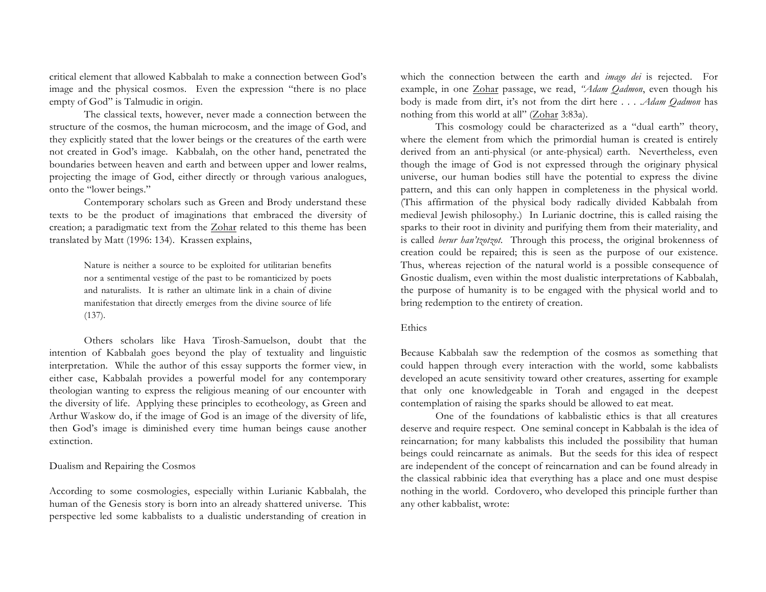critical element that allowed Kabbalah to make a connection between God's image and the physical cosmos. Even the expression "there is no place empty of God" is Talmudic in origin.

The classical texts, however, never made a connection between the structure of the cosmos, the human microcosm, and the image of God, and they explicitly stated that the lower beings or the creatures of the earth were not created in God's image. Kabbalah, on the other hand, penetrated the boundaries between heaven and earth and between upper and lower realms, projecting the image of God, either directly or through various analogues, onto the "lower beings."

Contemporary scholars such as Green and Brody understand these texts to be the product of imaginations that embraced the diversity of creation; a paradigmatic text from the Zohar related to this theme has been translated by Matt (1996: 134). Krassen explains,

> Nature is neither a source to be exploited for utilitarian benefits nor a sentimental vestige of the past to be romanticized by poets and naturalists. It is rather an ultimate link in a chain of divine manifestation that directly emerges from the divine source of life (137).

Others scholars like Hava Tirosh-Samuelson, doubt that the intention of Kabbalah goes beyond the play of textuality and linguistic interpretation. While the author of this essay supports the former view, in either case, Kabbalah provides a powerful model for any contemporary theologian wanting to express the religious meaning of our encounter with the diversity of life. Applying these principles to ecotheology, as Green and Arthur Waskow do, if the image of God is an image of the diversity of life, then God's image is diminished every time human beings cause another extinction.

## Dualism and Repairing the Cosmos

According to some cosmologies, especially within Lurianic Kabbalah, the human of the Genesis story is born into an already shattered universe. This perspective led some kabbalists to a dualistic understanding of creation in

which the connection between the earth and *imago dei* is rejected. For example, in one Zohar passage, we read, *"Adam Qadmon*, even though his body is made from dirt, it's not from the dirt here . . . .*Adam Qadmon* has nothing from this world at all" (Zohar 3:83a).

This cosmology could be characterized as a "dual earth" theory, where the element from which the primordial human is created is entirely derived from an anti-physical (or ante-physical) earth. Nevertheless, even though the image of God is not expressed through the originary physical universe, our human bodies still have the potential to express the divine pattern, and this can only happen in completeness in the physical world. (This affirmation of the physical body radically divided Kabbalah from medieval Jewish philosophy.) In Lurianic doctrine, this is called raising the sparks to their root in divinity and purifying them from their materiality, and is called *berur han'tzotzot*. Through this process, the original brokenness of creation could be repaired; this is seen as the purpose of our existence. Thus, whereas rejection of the natural world is a possible consequence of Gnostic dualism, even within the most dualistic interpretations of Kabbalah, the purpose of humanity is to be engaged with the physical world and to bring redemption to the entirety of creation.

#### **Ethics**

Because Kabbalah saw the redemption of the cosmos as something that could happen through every interaction with the world, some kabbalists developed an acute sensitivity toward other creatures, asserting for example that only one knowledgeable in Torah and engaged in the deepest contemplation of raising the sparks should be allowed to eat meat.

One of the foundations of kabbalistic ethics is that all creatures deserve and require respect. One seminal concept in Kabbalah is the idea of reincarnation; for many kabbalists this included the possibility that human beings could reincarnate as animals. But the seeds for this idea of respect are independent of the concept of reincarnation and can be found already in the classical rabbinic idea that everything has a place and one must despise nothing in the world. Cordovero, who developed this principle further than any other kabbalist, wrote: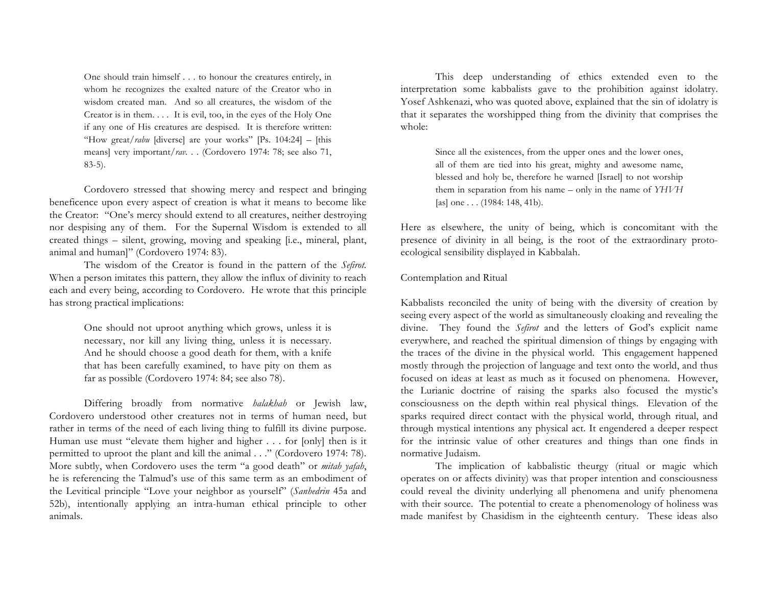One should train himself . . . to honour the creatures entirely, in whom he recognizes the exalted nature of the Creator who in wisdom created man. And so all creatures, the wisdom of the Creator is in them. . . . It is evil, too, in the eyes of the Holy One if any one of His creatures are despised. It is therefore written: "How great/*rabu* [diverse] are your works" [Ps. 104:24] – [this means] very important/*rav.* . . (Cordovero 1974: 78; see also 71, 83-5).

Cordovero stressed that showing mercy and respect and bringing beneficence upon every aspect of creation is what it means to become like the Creator: "One's mercy should extend to all creatures, neither destroying nor despising any of them. For the Supernal Wisdom is extended to all created things – silent, growing, moving and speaking [i.e., mineral, plant, animal and human]" (Cordovero 1974: 83).

The wisdom of the Creator is found in the pattern of the *Sefirot.* When a person imitates this pattern, they allow the influx of divinity to reach each and every being, according to Cordovero. He wrote that this principle has strong practical implications:

> One should not uproot anything which grows, unless it is necessary, nor kill any living thing, unless it is necessary. And he should choose a good death for them, with a knife that has been carefully examined, to have pity on them as far as possible (Cordovero 1974: 84; see also 78).

Differing broadly from normative *halakhah* or Jewish law, Cordovero understood other creatures not in terms of human need, but rather in terms of the need of each living thing to fulfill its divine purpose. Human use must "elevate them higher and higher . . . for [only] then is it permitted to uproot the plant and kill the animal . . ." (Cordovero 1974: 78). More subtly, when Cordovero uses the term "a good death" or *mitah yafah*, he is referencing the Talmud's use of this same term as an embodiment of the Levitical principle "Love your neighbor as yourself" (*Sanhedrin* 45a and 52b), intentionally applying an intra-human ethical principle to other animals.

This deep understanding of ethics extended even to the interpretation some kabbalists gave to the prohibition against idolatry. Yosef Ashkenazi, who was quoted above, explained that the sin of idolatry is that it separates the worshipped thing from the divinity that comprises the whole:

> Since all the existences, from the upper ones and the lower ones, all of them are tied into his great, mighty and awesome name, blessed and holy be, therefore he warned [Israel] to not worship them in separation from his name – only in the name of *YHVH* [as] one . . . (1984: 148, 41b).

Here as elsewhere, the unity of being, which is concomitant with the presence of divinity in all being, is the root of the extraordinary protoecological sensibility displayed in Kabbalah.

#### Contemplation and Ritual

Kabbalists reconciled the unity of being with the diversity of creation by seeing every aspect of the world as simultaneously cloaking and revealing the divine. They found the *Sefirot* and the letters of God's explicit name everywhere, and reached the spiritual dimension of things by engaging with the traces of the divine in the physical world. This engagement happened mostly through the projection of language and text onto the world, and thus focused on ideas at least as much as it focused on phenomena. However, the Lurianic doctrine of raising the sparks also focused the mystic's consciousness on the depth within real physical things. Elevation of the sparks required direct contact with the physical world, through ritual, and through mystical intentions any physical act. It engendered a deeper respect for the intrinsic value of other creatures and things than one finds in normative Judaism.

The implication of kabbalistic theurgy (ritual or magic which operates on or affects divinity) was that proper intention and consciousness could reveal the divinity underlying all phenomena and unify phenomena with their source. The potential to create a phenomenology of holiness was made manifest by Chasidism in the eighteenth century. These ideas also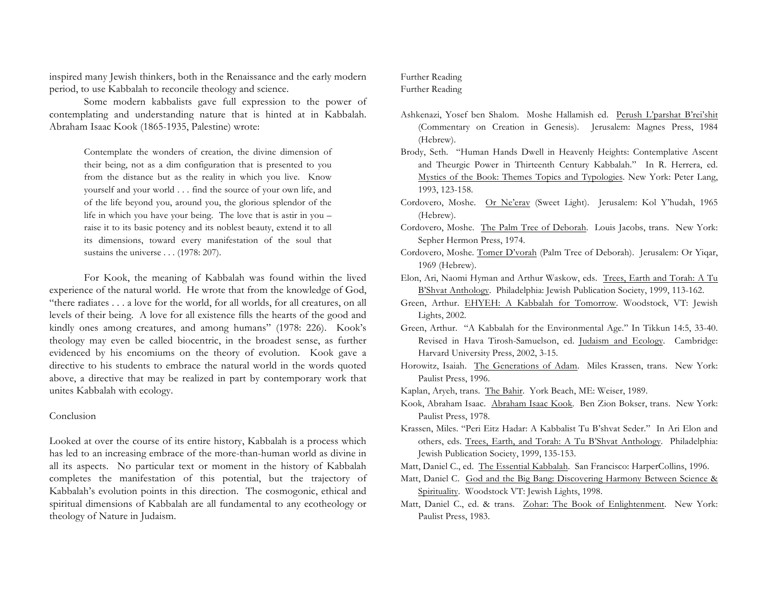inspired many Jewish thinkers, both in the Renaissance and the early modern period, to use Kabbalah to reconcile theology and science.

Some modern kabbalists gave full expression to the power of contemplating and understanding nature that is hinted at in Kabbalah. Abraham Isaac Kook (1865-1935, Palestine) wrote:

> Contemplate the wonders of creation, the divine dimension of their being, not as a dim configuration that is presented to you from the distance but as the reality in which you live. Know yourself and your world . . . find the source of your own life, and of the life beyond you, around you, the glorious splendor of the life in which you have your being. The love that is astir in you – raise it to its basic potency and its noblest beauty, extend it to all its dimensions, toward every manifestation of the soul that sustains the universe . . . (1978: 207).

For Kook, the meaning of Kabbalah was found within the lived experience of the natural world. He wrote that from the knowledge of God, "there radiates . . . a love for the world, for all worlds, for all creatures, on all levels of their being. A love for all existence fills the hearts of the good and kindly ones among creatures, and among humans" (1978: 226). Kook's theology may even be called biocentric, in the broadest sense, as further evidenced by his encomiums on the theory of evolution. Kook gave a directive to his students to embrace the natural world in the words quoted above, a directive that may be realized in part by contemporary work that unites Kabbalah with ecology.

#### Conclusion

Looked at over the course of its entire history, Kabbalah is a process which has led to an increasing embrace of the more-than-human world as divine in all its aspects. No particular text or moment in the history of Kabbalah completes the manifestation of this potential, but the trajectory of Kabbalah's evolution points in this direction. The cosmogonic, ethical and spiritual dimensions of Kabbalah are all fundamental to any ecotheology or theology of Nature in Judaism.

# Further Reading Further Reading

- Ashkenazi, Yosef ben Shalom. Moshe Hallamish ed. Perush L'parshat B'rei'shit (Commentary on Creation in Genesis). Jerusalem: Magnes Press, 1984 (Hebrew).
- Brody, Seth. "Human Hands Dwell in Heavenly Heights: Contemplative Ascent and Theurgic Power in Thirteenth Century Kabbalah." In R. Herrera, ed. Mystics of the Book: Themes Topics and Typologies. New York: Peter Lang, 1993, 123-158.
- Cordovero, Moshe. Or Ne'erav (Sweet Light). Jerusalem: Kol Y'hudah, 1965 (Hebrew).
- Cordovero, Moshe. The Palm Tree of Deborah. Louis Jacobs, trans. New York: Sepher Hermon Press, 1974.
- Cordovero, Moshe. Tomer D'vorah (Palm Tree of Deborah). Jerusalem: Or Yiqar, 1969 (Hebrew).
- Elon, Ari, Naomi Hyman and Arthur Waskow, eds. Trees, Earth and Torah: A Tu B'Shvat Anthology. Philadelphia: Jewish Publication Society, 1999, 113-162.
- Green, Arthur. EHYEH: A Kabbalah for Tomorrow. Woodstock, VT: Jewish Lights, 2002.
- Green, Arthur. "A Kabbalah for the Environmental Age." In Tikkun 14:5, 33-40. Revised in Hava Tirosh-Samuelson, ed. Judaism and Ecology. Cambridge: Harvard University Press, 2002, 3-15.
- Horowitz, Isaiah. The Generations of Adam. Miles Krassen, trans. New York: Paulist Press, 1996.
- Kaplan, Aryeh, trans. The Bahir. York Beach, ME: Weiser, 1989.
- Kook, Abraham Isaac. Abraham Isaac Kook. Ben Zion Bokser, trans. New York: Paulist Press, 1978.
- Krassen, Miles. "Peri Eitz Hadar: A Kabbalist Tu B'shvat Seder." In Ari Elon and others, eds. Trees, Earth, and Torah: A Tu B'Shvat Anthology. Philadelphia: Jewish Publication Society, 1999, 135-153.
- Matt, Daniel C., ed. The Essential Kabbalah. San Francisco: HarperCollins, 1996.
- Matt, Daniel C. God and the Big Bang: Discovering Harmony Between Science & Spirituality. Woodstock VT: Jewish Lights, 1998.
- Matt, Daniel C., ed. & trans. Zohar: The Book of Enlightenment. New York: Paulist Press, 1983.